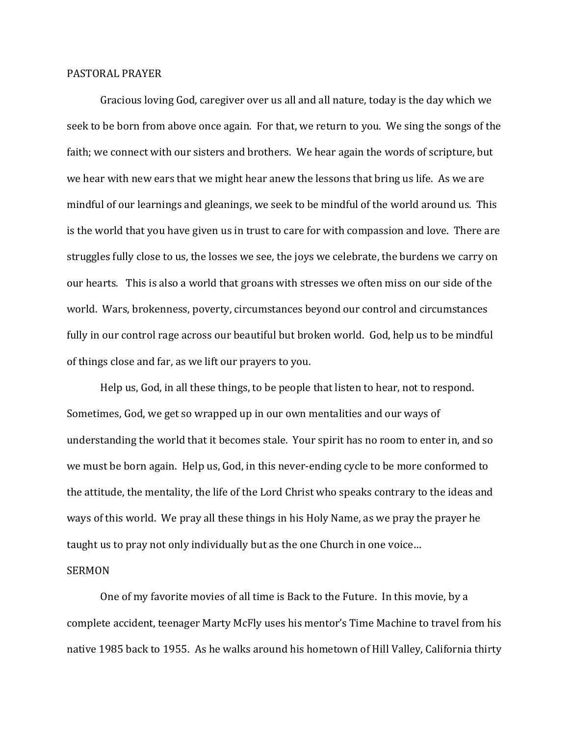## PASTORAL PRAYER

 Gracious loving God, caregiver over us all and all nature, today is the day which we seek to be born from above once again. For that, we return to you. We sing the songs of the faith; we connect with our sisters and brothers. We hear again the words of scripture, but we hear with new ears that we might hear anew the lessons that bring us life. As we are mindful of our learnings and gleanings, we seek to be mindful of the world around us. This is the world that you have given us in trust to care for with compassion and love. There are struggles fully close to us, the losses we see, the joys we celebrate, the burdens we carry on our hearts. This is also a world that groans with stresses we often miss on our side of the world. Wars, brokenness, poverty, circumstances beyond our control and circumstances fully in our control rage across our beautiful but broken world. God, help us to be mindful of things close and far, as we lift our prayers to you.

 Help us, God, in all these things, to be people that listen to hear, not to respond. Sometimes, God, we get so wrapped up in our own mentalities and our ways of understanding the world that it becomes stale. Your spirit has no room to enter in, and so we must be born again. Help us, God, in this never-ending cycle to be more conformed to the attitude, the mentality, the life of the Lord Christ who speaks contrary to the ideas and ways of this world. We pray all these things in his Holy Name, as we pray the prayer he taught us to pray not only individually but as the one Church in one voice…

## SERMON

One of my favorite movies of all time is Back to the Future. In this movie, by a complete accident, teenager Marty McFly uses his mentor's Time Machine to travel from his native 1985 back to 1955. As he walks around his hometown of Hill Valley, California thirty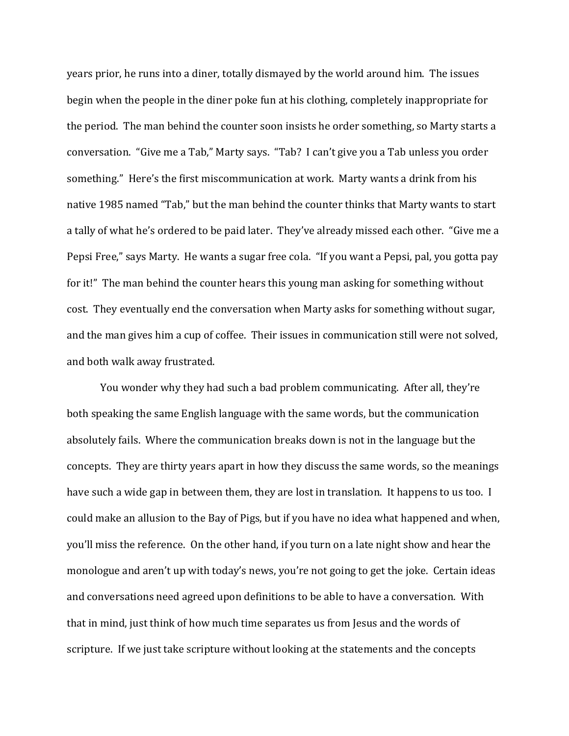years prior, he runs into a diner, totally dismayed by the world around him. The issues begin when the people in the diner poke fun at his clothing, completely inappropriate for the period. The man behind the counter soon insists he order something, so Marty starts a conversation. "Give me a Tab," Marty says. "Tab? I can't give you a Tab unless you order something." Here's the first miscommunication at work. Marty wants a drink from his native 1985 named "Tab," but the man behind the counter thinks that Marty wants to start a tally of what he's ordered to be paid later. They've already missed each other. "Give me a Pepsi Free," says Marty. He wants a sugar free cola. "If you want a Pepsi, pal, you gotta pay for it!" The man behind the counter hears this young man asking for something without cost. They eventually end the conversation when Marty asks for something without sugar, and the man gives him a cup of coffee. Their issues in communication still were not solved, and both walk away frustrated.

You wonder why they had such a bad problem communicating. After all, they're both speaking the same English language with the same words, but the communication absolutely fails. Where the communication breaks down is not in the language but the concepts. They are thirty years apart in how they discuss the same words, so the meanings have such a wide gap in between them, they are lost in translation. It happens to us too. I could make an allusion to the Bay of Pigs, but if you have no idea what happened and when, you'll miss the reference. On the other hand, if you turn on a late night show and hear the monologue and aren't up with today's news, you're not going to get the joke. Certain ideas and conversations need agreed upon definitions to be able to have a conversation. With that in mind, just think of how much time separates us from Jesus and the words of scripture. If we just take scripture without looking at the statements and the concepts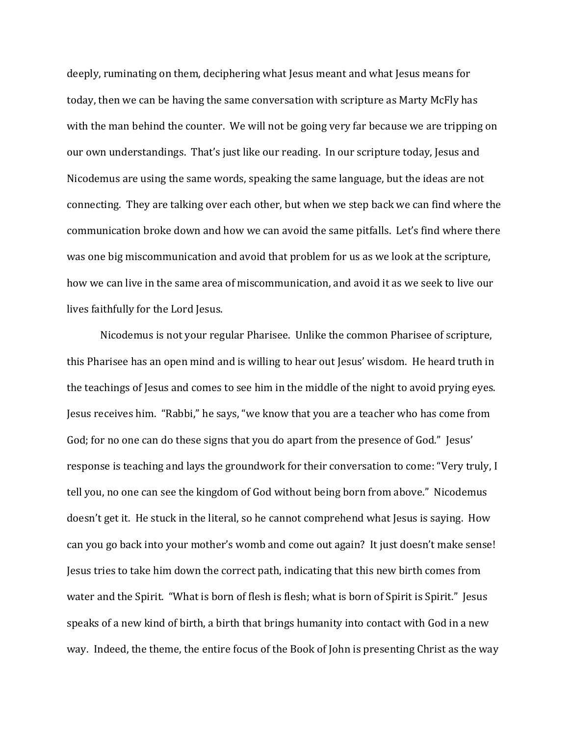deeply, ruminating on them, deciphering what Jesus meant and what Jesus means for today, then we can be having the same conversation with scripture as Marty McFly has with the man behind the counter. We will not be going very far because we are tripping on our own understandings. That's just like our reading. In our scripture today, Jesus and Nicodemus are using the same words, speaking the same language, but the ideas are not connecting. They are talking over each other, but when we step back we can find where the communication broke down and how we can avoid the same pitfalls. Let's find where there was one big miscommunication and avoid that problem for us as we look at the scripture, how we can live in the same area of miscommunication, and avoid it as we seek to live our lives faithfully for the Lord Jesus.

 Nicodemus is not your regular Pharisee. Unlike the common Pharisee of scripture, this Pharisee has an open mind and is willing to hear out Jesus' wisdom. He heard truth in the teachings of Jesus and comes to see him in the middle of the night to avoid prying eyes. Jesus receives him. "Rabbi," he says, "we know that you are a teacher who has come from God; for no one can do these signs that you do apart from the presence of God." Jesus' response is teaching and lays the groundwork for their conversation to come: "Very truly, I tell you, no one can see the kingdom of God without being born from above." Nicodemus doesn't get it. He stuck in the literal, so he cannot comprehend what Jesus is saying. How can you go back into your mother's womb and come out again? It just doesn't make sense! Jesus tries to take him down the correct path, indicating that this new birth comes from water and the Spirit. "What is born of flesh is flesh; what is born of Spirit is Spirit." Jesus speaks of a new kind of birth, a birth that brings humanity into contact with God in a new way. Indeed, the theme, the entire focus of the Book of John is presenting Christ as the way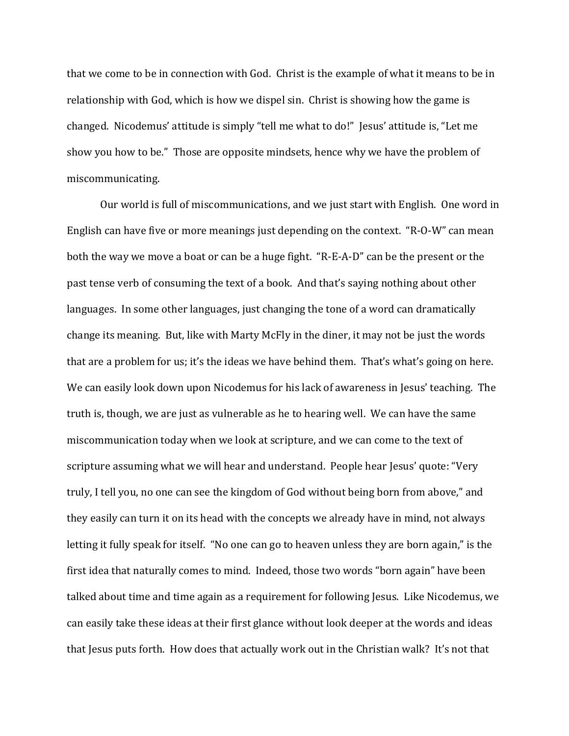that we come to be in connection with God. Christ is the example of what it means to be in relationship with God, which is how we dispel sin. Christ is showing how the game is changed. Nicodemus' attitude is simply "tell me what to do!" Jesus' attitude is, "Let me show you how to be." Those are opposite mindsets, hence why we have the problem of miscommunicating.

 Our world is full of miscommunications, and we just start with English. One word in English can have five or more meanings just depending on the context. "R-O-W" can mean both the way we move a boat or can be a huge fight. "R-E-A-D" can be the present or the past tense verb of consuming the text of a book.And that's saying nothing about other languages. In some other languages, just changing the tone of a word can dramatically change its meaning. But, like with Marty McFly in the diner, it may not be just the words that are a problem for us; it's the ideas we have behind them. That's what's going on here. We can easily look down upon Nicodemus for his lack of awareness in Jesus' teaching. The truth is, though, we are just as vulnerable as he to hearing well. We can have the same miscommunication today when we look at scripture, and we can come to the text of scripture assuming what we will hear and understand. People hear Jesus' quote: "Very truly, I tell you, no one can see the kingdom of God without being born from above," and they easily can turn it on its head with the concepts we already have in mind, not always letting it fully speak for itself. "No one can go to heaven unless they are born again," is the first idea that naturally comes to mind. Indeed, those two words "born again" have been talked about time and time again as a requirement for following Jesus. Like Nicodemus, we can easily take these ideas at their first glance without look deeper at the words and ideas that Jesus puts forth. How does that actually work out in the Christian walk? It's not that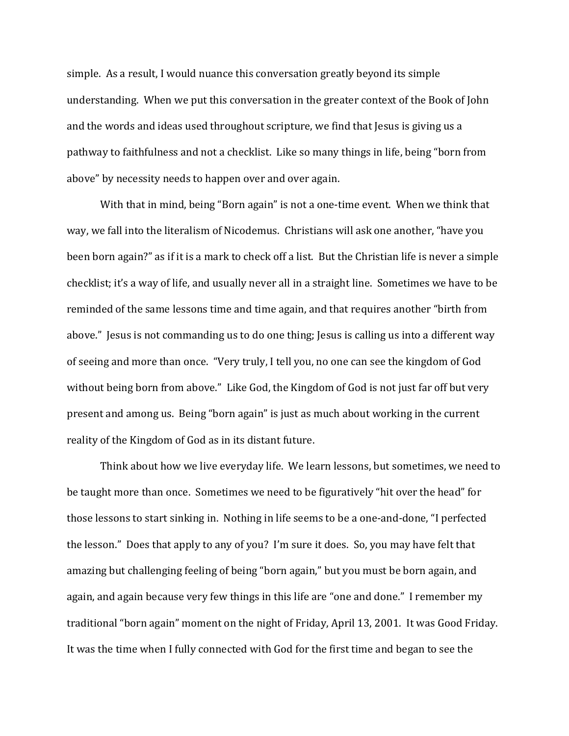simple. As a result, I would nuance this conversation greatly beyond its simple understanding. When we put this conversation in the greater context of the Book of John and the words and ideas used throughout scripture, we find that Jesus is giving us a pathway to faithfulness and not a checklist. Like so many things in life, being "born from above" by necessity needs to happen over and over again.

With that in mind, being "Born again" is not a one-time event. When we think that way, we fall into the literalism of Nicodemus. Christians will ask one another, "have you been born again?" as if it is a mark to check off a list. But the Christian life is never a simple checklist; it's a way of life, and usually never all in a straight line. Sometimes we have to be reminded of the same lessons time and time again, and that requires another "birth from above." Jesus is not commanding us to do one thing; Jesus is calling us into a different way of seeing and more than once. "Very truly, I tell you, no one can see the kingdom of God without being born from above." Like God, the Kingdom of God is not just far off but very present and among us. Being "born again" is just as much about working in the current reality of the Kingdom of God as in its distant future.

 Think about how we live everyday life. We learn lessons, but sometimes, we need to be taught more than once. Sometimes we need to be figuratively "hit over the head" for those lessons to start sinking in. Nothing in life seems to be a one-and-done, "I perfected the lesson." Does that apply to any of you? I'm sure it does. So, you may have felt that amazing but challenging feeling of being "born again," but you must be born again, and again, and again because very few things in this life are "one and done." I remember my traditional "born again" moment on the night of Friday, April 13, 2001. It was Good Friday. It was the time when I fully connected with God for the first time and began to see the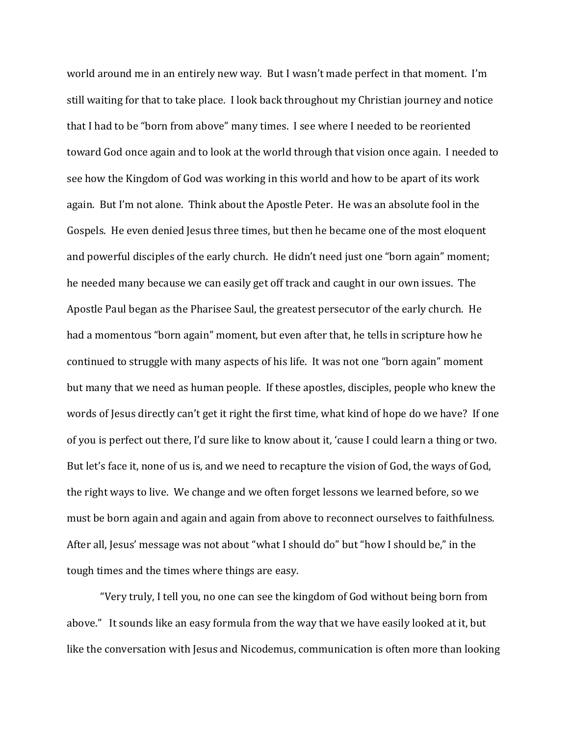world around me in an entirely new way. But I wasn't made perfect in that moment. I'm still waiting for that to take place. I look back throughout my Christian journey and notice that I had to be "born from above" many times. I see where I needed to be reoriented toward God once again and to look at the world through that vision once again. I needed to see how the Kingdom of God was working in this world and how to be apart of its work again. But I'm not alone. Think about the Apostle Peter. He was an absolute fool in the Gospels. He even denied Jesus three times, but then he became one of the most eloquent and powerful disciples of the early church. He didn't need just one "born again" moment; he needed many because we can easily get off track and caught in our own issues. The Apostle Paul began as the Pharisee Saul, the greatest persecutor of the early church. He had a momentous "born again" moment, but even after that, he tells in scripture how he continued to struggle with many aspects of his life. It was not one "born again" moment but many that we need as human people. If these apostles, disciples, people who knew the words of Jesus directly can't get it right the first time, what kind of hope do we have? If one of you is perfect out there, I'd sure like to know about it, 'cause I could learn a thing or two. But let's face it, none of us is, and we need to recapture the vision of God, the ways of God, the right ways to live. We change and we often forget lessons we learned before, so we must be born again and again and again from above to reconnect ourselves to faithfulness. After all, Jesus' message was not about "what I should do" but "how I should be," in the tough times and the times where things are easy.

 "Very truly, I tell you, no one can see the kingdom of God without being born from above." It sounds like an easy formula from the way that we have easily looked at it, but like the conversation with Jesus and Nicodemus, communication is often more than looking